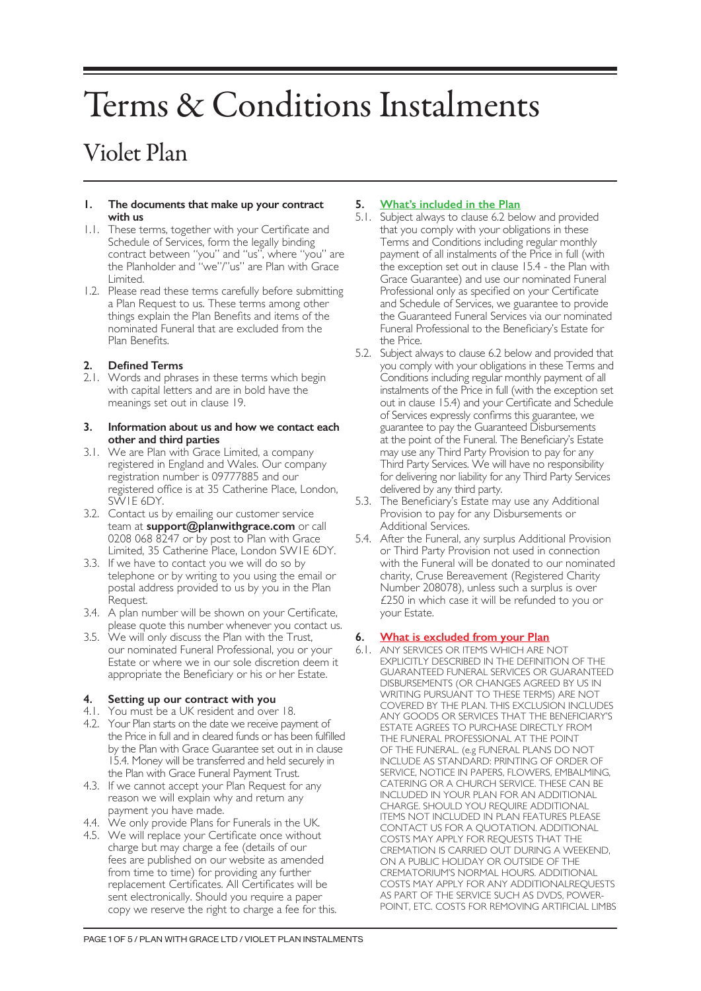# Terms & Conditions Instalments

# Violet Plan

#### **1. The documents that make up your contract with us**

- 1.1. These terms, together with your Certificate and Schedule of Services, form the legally binding contract between "you" and "us", where "you" are the Planholder and "we"/"us" are Plan with Grace Limited.
- 1.2. Please read these terms carefully before submitting a Plan Request to us. These terms among other things explain the Plan Benefits and items of the nominated Funeral that are excluded from the Plan Benefits.

# **2. Defined Terms**

2.1. Words and phrases in these terms which begin with capital letters and are in bold have the meanings set out in clause 19.

#### **3. Information about us and how we contact each other and third parties**

- 3.1. We are Plan with Grace Limited, a company registered in England and Wales. Our company registration number is 09777885 and our registered office is at 35 Catherine Place, London, SW1E 6DY.
- 3.2. Contact us by emailing our customer service team at **support@planwithgrace.com** or call 0208 068 8247 or by post to Plan with Grace Limited, 35 Catherine Place, London SW1E 6DY.
- 3.3. If we have to contact you we will do so by telephone or by writing to you using the email or postal address provided to us by you in the Plan Request.
- 3.4. A plan number will be shown on your Certificate, please quote this number whenever you contact us.
- 3.5. We will only discuss the Plan with the Trust, our nominated Funeral Professional, you or your Estate or where we in our sole discretion deem it appropriate the Beneficiary or his or her Estate.

# **4. Setting up our contract with you**

- 4.1. You must be a UK resident and over 18.
- 4.2. Your Plan starts on the date we receive payment of the Price in full and in cleared funds or has been fulfilled by the Plan with Grace Guarantee set out in in clause 15.4. Money will be transferred and held securely in the Plan with Grace Funeral Payment Trust.
- 4.3. If we cannot accept your Plan Request for any reason we will explain why and return any payment you have made.
- 4.4. We only provide Plans for Funerals in the UK.
- 4.5. We will replace your Certificate once without charge but may charge a fee (details of our fees are published on our website as amended from time to time) for providing any further replacement Certificates. All Certificates will be sent electronically. Should you require a paper copy we reserve the right to charge a fee for this.

# **5. What's included in the Plan**

- 5.1. Subject always to clause 6.2 below and provided that you comply with your obligations in these Terms and Conditions including regular monthly payment of all instalments of the Price in full (with the exception set out in clause 15.4 - the Plan with Grace Guarantee) and use our nominated Funeral Professional only as specified on your Certificate and Schedule of Services, we guarantee to provide the Guaranteed Funeral Services via our nominated Funeral Professional to the Beneficiary's Estate for the Price.
- 5.2. Subject always to clause 6.2 below and provided that you comply with your obligations in these Terms and Conditions including regular monthly payment of all instalments of the Price in full (with the exception set out in clause 15.4) and your Certificate and Schedule of Services expressly confirms this guarantee, we guarantee to pay the Guaranteed Disbursements at the point of the Funeral. The Beneficiary's Estate may use any Third Party Provision to pay for any Third Party Services. We will have no responsibility for delivering nor liability for any Third Party Services delivered by any third party.
- 5.3. The Beneficiary's Estate may use any Additional Provision to pay for any Disbursements or Additional Services.
- 5.4. After the Funeral, any surplus Additional Provision or Third Party Provision not used in connection with the Funeral will be donated to our nominated charity, Cruse Bereavement (Registered Charity Number 208078), unless such a surplus is over £250 in which case it will be refunded to you or your Estate.

# **6. What is excluded from your Plan**

6.1. ANY SERVICES OR ITEMS WHICH ARE NOT EXPLICITLY DESCRIBED IN THE DEFINITION OF THE GUARANTEED FUNERAL SERVICES OR GUARANTEED DISBURSEMENTS (OR CHANGES AGREED BY US IN WRITING PURSUANT TO THESE TERMS) ARE NOT COVERED BY THE PLAN. THIS EXCLUSION INCLUDES ANY GOODS OR SERVICES THAT THE BENEFICIARY'S ESTATE AGREES TO PURCHASE DIRECTLY FROM THE FUNERAL PROFESSIONAL AT THE POINT OF THE FUNERAL. (e.g FUNERAL PLANS DO NOT INCLUDE AS STANDARD: PRINTING OF ORDER OF SERVICE, NOTICE IN PAPERS, FLOWERS, EMBALMING, CATERING OR A CHURCH SERVICE. THESE CAN BE INCLUDED IN YOUR PLAN FOR AN ADDITIONAL CHARGE. SHOULD YOU REQUIRE ADDITIONAL ITEMS NOT INCLUDED IN PLAN FEATURES PLEASE CONTACT US FOR A QUOTATION. ADDITIONAL COSTS MAY APPLY FOR REQUESTS THAT THE CREMATION IS CARRIED OUT DURING A WEEKEND, ON A PUBLIC HOLIDAY OR OUTSIDE OF THE CREMATORIUM'S NORMAL HOURS. ADDITIONAL COSTS MAY APPLY FOR ANY ADDITIONALREQUESTS AS PART OF THE SERVICE SUCH AS DVDS, POWER-POINT, ETC. COSTS FOR REMOVING ARTIFICIAL LIMBS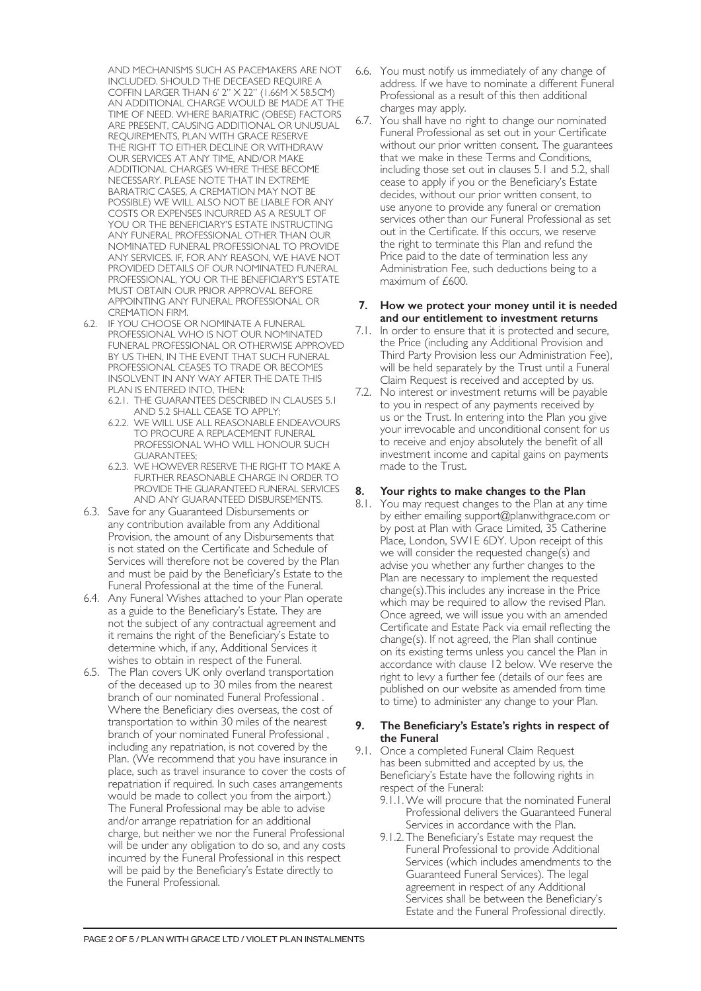AND MECHANISMS SUCH AS PACEMAKERS ARE NOT INCLUDED. SHOULD THE DECEASED REQUIRE A COFFIN LARGER THAN 6' 2" X 22" (1.66M X 58.5CM) AN ADDITIONAL CHARGE WOULD BE MADE AT THE TIME OF NEED. WHERE BARIATRIC (OBESE) FACTORS ARE PRESENT, CAUSING ADDITIONAL OR UNUSUAL REQUIREMENTS, PLAN WITH GRACE RESERVE THE RIGHT TO EITHER DECLINE OR WITHDRAW OUR SERVICES AT ANY TIME, AND/OR MAKE ADDITIONAL CHARGES WHERE THESE BECOME NECESSARY. PLEASE NOTE THAT IN EXTREME BARIATRIC CASES, A CREMATION MAY NOT BE POSSIBLE) WE WILL ALSO NOT BE LIABLE FOR ANY COSTS OR EXPENSES INCURRED AS A RESULT OF YOU OR THE BENEFICIARY'S ESTATE INSTRUCTING ANY FUNERAL PROFESSIONAL OTHER THAN OUR NOMINATED FUNERAL PROFESSIONAL TO PROVIDE ANY SERVICES. IF, FOR ANY REASON, WE HAVE NOT PROVIDED DETAILS OF OUR NOMINATED FUNERAL PROFESSIONAL, YOU OR THE BENEFICIARY'S ESTATE MUST OBTAIN OUR PRIOR APPROVAL BEFORE APPOINTING ANY FUNERAL PROFESSIONAL OR CREMATION FIRM.

- 6.2. IF YOU CHOOSE OR NOMINATE A FUNERAL PROFESSIONAL WHO IS NOT OUR NOMINATED FUNERAL PROFESSIONAL OR OTHERWISE APPROVED BY US THEN, IN THE EVENT THAT SUCH FUNERAL PROFESSIONAL CEASES TO TRADE OR BECOMES INSOLVENT IN ANY WAY AFTER THE DATE THIS PLAN IS ENTERED INTO, THEN:
	- 6.2.1. THE GUARANTEES DESCRIBED IN CLAUSES 5.1 AND 5.2 SHALL CEASE TO APPLY;
	- 6.2.2. WE WILL USE ALL REASONABLE ENDEAVOURS TO PROCURE A REPLACEMENT FUNERAL PROFESSIONAL WHO WILL HONOUR SUCH GUARANTEES;
	- 6.2.3. WE HOWEVER RESERVE THE RIGHT TO MAKE A FURTHER REASONABLE CHARGE IN ORDER TO PROVIDE THE GUARANTEED FUNERAL SERVICES AND ANY GUARANTEED DISBURSEMENTS.
- 6.3. Save for any Guaranteed Disbursements or any contribution available from any Additional Provision, the amount of any Disbursements that is not stated on the Certificate and Schedule of Services will therefore not be covered by the Plan and must be paid by the Beneficiary's Estate to the Funeral Professional at the time of the Funeral.
- 6.4. Any Funeral Wishes attached to your Plan operate as a guide to the Beneficiary's Estate. They are not the subject of any contractual agreement and it remains the right of the Beneficiary's Estate to determine which, if any, Additional Services it wishes to obtain in respect of the Funeral.
- 6.5. The Plan covers UK only overland transportation of the deceased up to 30 miles from the nearest branch of our nominated Funeral Professional . Where the Beneficiary dies overseas, the cost of transportation to within 30 miles of the nearest branch of your nominated Funeral Professional , including any repatriation, is not covered by the Plan. (We recommend that you have insurance in place, such as travel insurance to cover the costs of repatriation if required. In such cases arrangements would be made to collect you from the airport.) The Funeral Professional may be able to advise and/or arrange repatriation for an additional charge, but neither we nor the Funeral Professional will be under any obligation to do so, and any costs incurred by the Funeral Professional in this respect will be paid by the Beneficiary's Estate directly to the Funeral Professional.
- 6.6. You must notify us immediately of any change of address. If we have to nominate a different Funeral Professional as a result of this then additional charges may apply.
- 6.7. You shall have no right to change our nominated Funeral Professional as set out in your Certificate without our prior written consent. The guarantees that we make in these Terms and Conditions, including those set out in clauses 5.1 and 5.2, shall cease to apply if you or the Beneficiary's Estate decides, without our prior written consent, to use anyone to provide any funeral or cremation services other than our Funeral Professional as set out in the Certificate. If this occurs, we reserve the right to terminate this Plan and refund the Price paid to the date of termination less any Administration Fee, such deductions being to a maximum of £600.

#### **7. How we protect your money until it is needed and our entitlement to investment returns**

- 7.1. In order to ensure that it is protected and secure, the Price (including any Additional Provision and Third Party Provision less our Administration Fee), will be held separately by the Trust until a Funeral Claim Request is received and accepted by us.
- 7.2. No interest or investment returns will be payable to you in respect of any payments received by us or the Trust. In entering into the Plan you give your irrevocable and unconditional consent for us to receive and enjoy absolutely the benefit of all investment income and capital gains on payments made to the Trust.

# **8. Your rights to make changes to the Plan**

8.1. You may request changes to the Plan at any time by either emailing support@planwithgrace.com or by post at Plan with Grace Limited, 35 Catherine Place, London, SW1E 6DY. Upon receipt of this we will consider the requested change(s) and advise you whether any further changes to the Plan are necessary to implement the requested change(s).This includes any increase in the Price which may be required to allow the revised Plan. Once agreed, we will issue you with an amended Certificate and Estate Pack via email reflecting the change(s). If not agreed, the Plan shall continue on its existing terms unless you cancel the Plan in accordance with clause 12 below. We reserve the right to levy a further fee (details of our fees are published on our website as amended from time to time) to administer any change to your Plan.

#### **9. The Beneficiary's Estate's rights in respect of the Funeral**

- 9.1. Once a completed Funeral Claim Request has been submitted and accepted by us, the Beneficiary's Estate have the following rights in respect of the Funeral:
	- 9.1.1.We will procure that the nominated Funeral Professional delivers the Guaranteed Funeral Services in accordance with the Plan.
	- 9.1.2. The Beneficiary's Estate may request the Funeral Professional to provide Additional Services (which includes amendments to the Guaranteed Funeral Services). The legal agreement in respect of any Additional Services shall be between the Beneficiary's Estate and the Funeral Professional directly.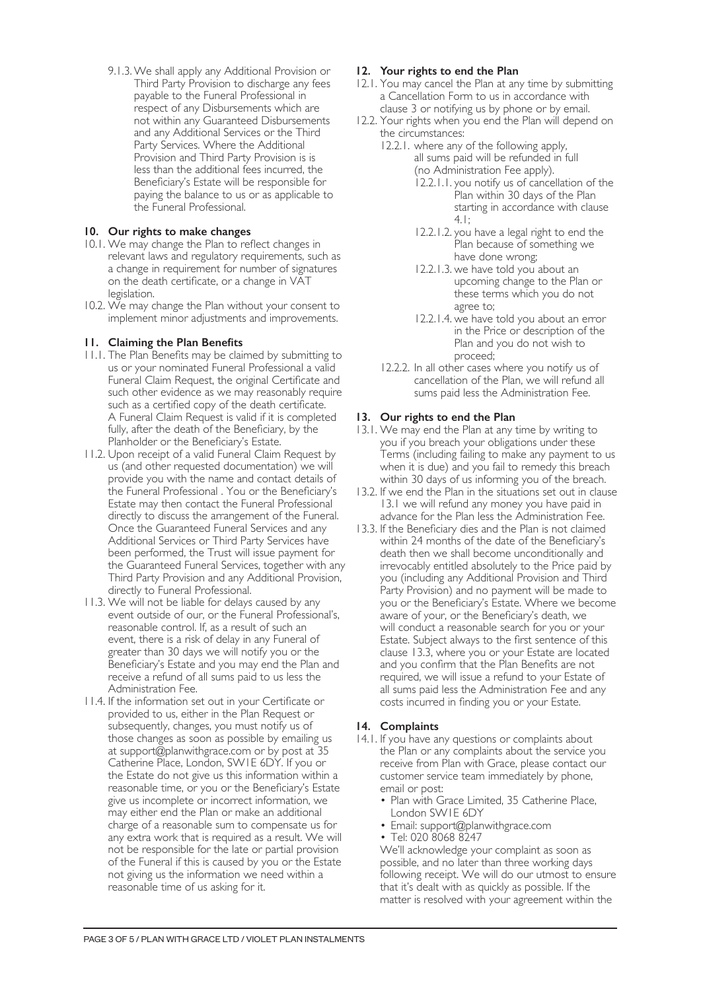9.1.3.We shall apply any Additional Provision or Third Party Provision to discharge any fees payable to the Funeral Professional in respect of any Disbursements which are not within any Guaranteed Disbursements and any Additional Services or the Third Party Services. Where the Additional Provision and Third Party Provision is is less than the additional fees incurred, the Beneficiary's Estate will be responsible for paying the balance to us or as applicable to the Funeral Professional.

# **10. Our rights to make changes**

- 10.1. We may change the Plan to reflect changes in relevant laws and regulatory requirements, such as a change in requirement for number of signatures on the death certificate, or a change in VAT legislation.
- 10.2. We may change the Plan without your consent to implement minor adjustments and improvements.

# **11. Claiming the Plan Benefits**

- 11.1. The Plan Benefits may be claimed by submitting to us or your nominated Funeral Professional a valid Funeral Claim Request, the original Certificate and such other evidence as we may reasonably require such as a certified copy of the death certificate. A Funeral Claim Request is valid if it is completed fully, after the death of the Beneficiary, by the Planholder or the Beneficiary's Estate.
- 11.2. Upon receipt of a valid Funeral Claim Request by us (and other requested documentation) we will provide you with the name and contact details of the Funeral Professional . You or the Beneficiary's Estate may then contact the Funeral Professional directly to discuss the arrangement of the Funeral. Once the Guaranteed Funeral Services and any Additional Services or Third Party Services have been performed, the Trust will issue payment for the Guaranteed Funeral Services, together with any Third Party Provision and any Additional Provision, directly to Funeral Professional.
- 11.3. We will not be liable for delays caused by any event outside of our, or the Funeral Professional's, reasonable control. If, as a result of such an event, there is a risk of delay in any Funeral of greater than 30 days we will notify you or the Beneficiary's Estate and you may end the Plan and receive a refund of all sums paid to us less the Administration Fee.
- 11.4. If the information set out in your Certificate or provided to us, either in the Plan Request or subsequently, changes, you must notify us of those changes as soon as possible by emailing us at support@planwithgrace.com or by post at 35 Catherine Place, London, SW1E 6DY. If you or the Estate do not give us this information within a reasonable time, or you or the Beneficiary's Estate give us incomplete or incorrect information, we may either end the Plan or make an additional charge of a reasonable sum to compensate us for any extra work that is required as a result. We will not be responsible for the late or partial provision of the Funeral if this is caused by you or the Estate not giving us the information we need within a reasonable time of us asking for it.

# **12. Your rights to end the Plan**

- 12.1. You may cancel the Plan at any time by submitting a Cancellation Form to us in accordance with clause 3 or notifying us by phone or by email.
- 12.2. Your rights when you end the Plan will depend on the circumstances:
	- 12.2.1. where any of the following apply, all sums paid will be refunded in full (no Administration Fee apply).
		- 12.2.1.1. you notify us of cancellation of the Plan within 30 days of the Plan starting in accordance with clause 4.1;
		- 12.2.1.2. you have a legal right to end the Plan because of something we have done wrong;
		- 12.2.1.3. we have told you about an upcoming change to the Plan or these terms which you do not agree to;
		- 12.2.1.4. we have told you about an error in the Price or description of the Plan and you do not wish to proceed;
	- 12.2.2. In all other cases where you notify us of cancellation of the Plan, we will refund all sums paid less the Administration Fee.

# **13. Our rights to end the Plan**

- 13.1. We may end the Plan at any time by writing to you if you breach your obligations under these Terms (including failing to make any payment to us when it is due) and you fail to remedy this breach within 30 days of us informing you of the breach.
- 13.2. If we end the Plan in the situations set out in clause 13.1 we will refund any money you have paid in advance for the Plan less the Administration Fee.
- 13.3. If the Beneficiary dies and the Plan is not claimed within 24 months of the date of the Beneficiary's death then we shall become unconditionally and irrevocably entitled absolutely to the Price paid by you (including any Additional Provision and Third Party Provision) and no payment will be made to you or the Beneficiary's Estate. Where we become aware of your, or the Beneficiary's death, we will conduct a reasonable search for you or your Estate. Subject always to the first sentence of this clause 13.3, where you or your Estate are located and you confirm that the Plan Benefits are not required, we will issue a refund to your Estate of all sums paid less the Administration Fee and any costs incurred in finding you or your Estate.

#### **14. Complaints**

- 14.1. If you have any questions or complaints about the Plan or any complaints about the service you receive from Plan with Grace, please contact our customer service team immediately by phone, email or post:
	- Plan with Grace Limited, 35 Catherine Place, London SW1E 6DY
	- Email: support@planwithgrace.com
	- Tel: 020 8068 8247

We'll acknowledge your complaint as soon as possible, and no later than three working days following receipt. We will do our utmost to ensure that it's dealt with as quickly as possible. If the matter is resolved with your agreement within the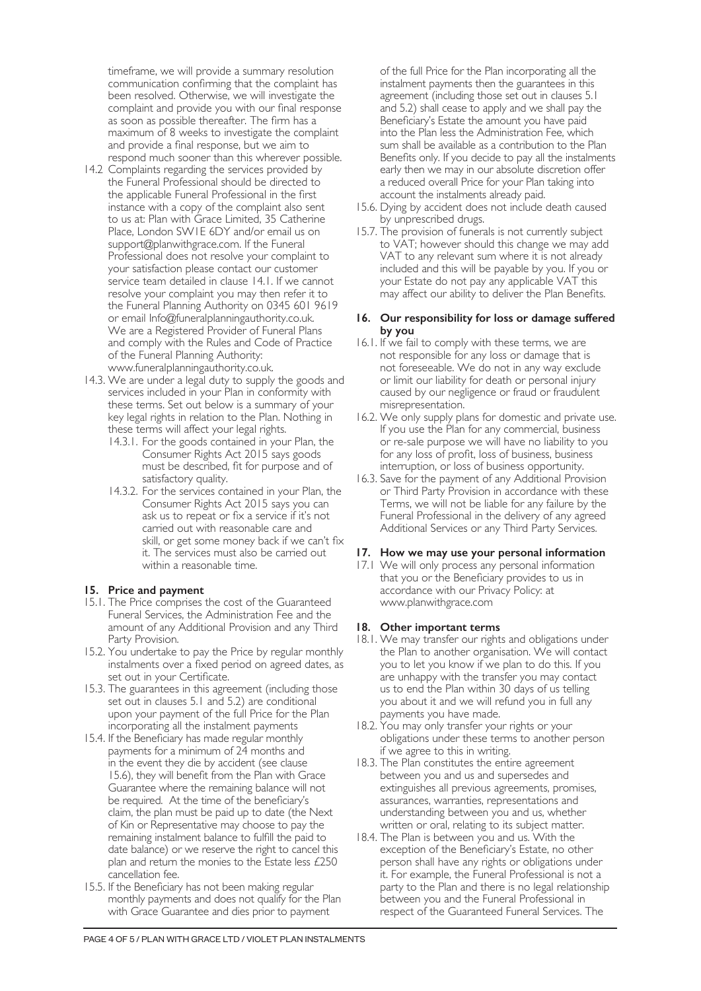timeframe, we will provide a summary resolution communication confirming that the complaint has been resolved. Otherwise, we will investigate the complaint and provide you with our final response as soon as possible thereafter. The firm has a maximum of 8 weeks to investigate the complaint and provide a final response, but we aim to respond much sooner than this wherever possible.

- 14.2 Complaints regarding the services provided by the Funeral Professional should be directed to the applicable Funeral Professional in the first instance with a copy of the complaint also sent to us at: Plan with Grace Limited, 35 Catherine Place, London SW1E 6DY and/or email us on support@planwithgrace.com. If the Funeral Professional does not resolve your complaint to your satisfaction please contact our customer service team detailed in clause 14.1. If we cannot resolve your complaint you may then refer it to the Funeral Planning Authority on 0345 601 9619 or email Info@funeralplanningauthority.co.uk. We are a Registered Provider of Funeral Plans and comply with the Rules and Code of Practice of the Funeral Planning Authority: www.funeralplanningauthority.co.uk.
- 14.3. We are under a legal duty to supply the goods and services included in your Plan in conformity with these terms. Set out below is a summary of your key legal rights in relation to the Plan. Nothing in these terms will affect your legal rights.
	- 14.3.1. For the goods contained in your Plan, the Consumer Rights Act 2015 says goods must be described, fit for purpose and of satisfactory quality.
	- 14.3.2. For the services contained in your Plan, the Consumer Rights Act 2015 says you can ask us to repeat or fix a service if it's not carried out with reasonable care and skill, or get some money back if we can't fix it. The services must also be carried out within a reasonable time.

#### **15. Price and payment**

- 15.1. The Price comprises the cost of the Guaranteed Funeral Services, the Administration Fee and the amount of any Additional Provision and any Third Party Provision.
- 15.2. You undertake to pay the Price by regular monthly instalments over a fixed period on agreed dates, as set out in your Certificate.
- 15.3. The guarantees in this agreement (including those set out in clauses 5.1 and 5.2) are conditional upon your payment of the full Price for the Plan incorporating all the instalment payments
- 15.4. If the Beneficiary has made regular monthly payments for a minimum of 24 months and in the event they die by accident (see clause 15.6), they will benefit from the Plan with Grace Guarantee where the remaining balance will not be required. At the time of the beneficiary's claim, the plan must be paid up to date (the Next of Kin or Representative may choose to pay the remaining instalment balance to fulfill the paid to date balance) or we reserve the right to cancel this plan and return the monies to the Estate less £250 cancellation fee.
- 15.5. If the Beneficiary has not been making regular monthly payments and does not qualify for the Plan with Grace Guarantee and dies prior to payment

of the full Price for the Plan incorporating all the instalment payments then the guarantees in this agreement (including those set out in clauses 5.1 and 5.2) shall cease to apply and we shall pay the Beneficiary's Estate the amount you have paid into the Plan less the Administration Fee, which sum shall be available as a contribution to the Plan Benefits only. If you decide to pay all the instalments early then we may in our absolute discretion offer a reduced overall Price for your Plan taking into account the instalments already paid.

- 15.6. Dying by accident does not include death caused by unprescribed drugs.
- 15.7. The provision of funerals is not currently subject to VAT; however should this change we may add VAT to any relevant sum where it is not already included and this will be payable by you. If you or your Estate do not pay any applicable VAT this may affect our ability to deliver the Plan Benefits.

### **16. Our responsibility for loss or damage suffered by you**

- 16.1. If we fail to comply with these terms, we are not responsible for any loss or damage that is not foreseeable. We do not in any way exclude or limit our liability for death or personal injury caused by our negligence or fraud or fraudulent misrepresentation.
- 16.2. We only supply plans for domestic and private use. If you use the Plan for any commercial, business or re-sale purpose we will have no liability to you for any loss of profit, loss of business, business interruption, or loss of business opportunity.
- 16.3. Save for the payment of any Additional Provision or Third Party Provision in accordance with these Terms, we will not be liable for any failure by the Funeral Professional in the delivery of any agreed Additional Services or any Third Party Services.

#### **17. How we may use your personal information**

17.1 We will only process any personal information that you or the Beneficiary provides to us in accordance with our Privacy Policy: at www.planwithgrace.com

#### **18. Other important terms**

- 18.1. We may transfer our rights and obligations under the Plan to another organisation. We will contact you to let you know if we plan to do this. If you are unhappy with the transfer you may contact us to end the Plan within 30 days of us telling you about it and we will refund you in full any payments you have made.
- 18.2. You may only transfer your rights or your obligations under these terms to another person if we agree to this in writing.
- 18.3. The Plan constitutes the entire agreement between you and us and supersedes and extinguishes all previous agreements, promises, assurances, warranties, representations and understanding between you and us, whether written or oral, relating to its subject matter.
- 18.4. The Plan is between you and us. With the exception of the Beneficiary's Estate, no other person shall have any rights or obligations under it. For example, the Funeral Professional is not a party to the Plan and there is no legal relationship between you and the Funeral Professional in respect of the Guaranteed Funeral Services. The